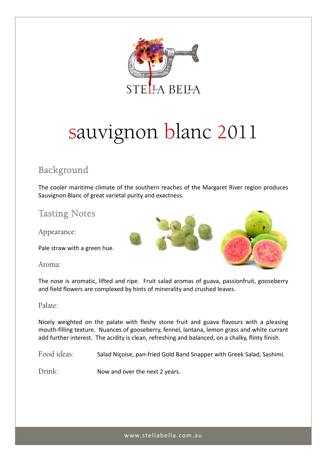

# sauvignon blanc 2011

## Background

The cooler maritime climate of the southern reaches of the Margaret River region produces Sauvignon Blanc of great varietal purity and exactness.

## Tasting Notes

Appearance:

Pale straw with a green hue.

Aroma:



### Palate:

Nicely weighted on the palate with fleshy stone fruit and guava flavours with a pleasing mouth‐filling texture. Nuances of gooseberry, fennel, lantana, lemon grass and white currant add further interest. The acidity is clean, refreshing and balanced, on a chalky, flinty finish.

Food ideas: Salad Niçoise, pan-fried Gold Band Snapper with Greek Salad, Sashimi.

Drink: Now and over the next 2 years.